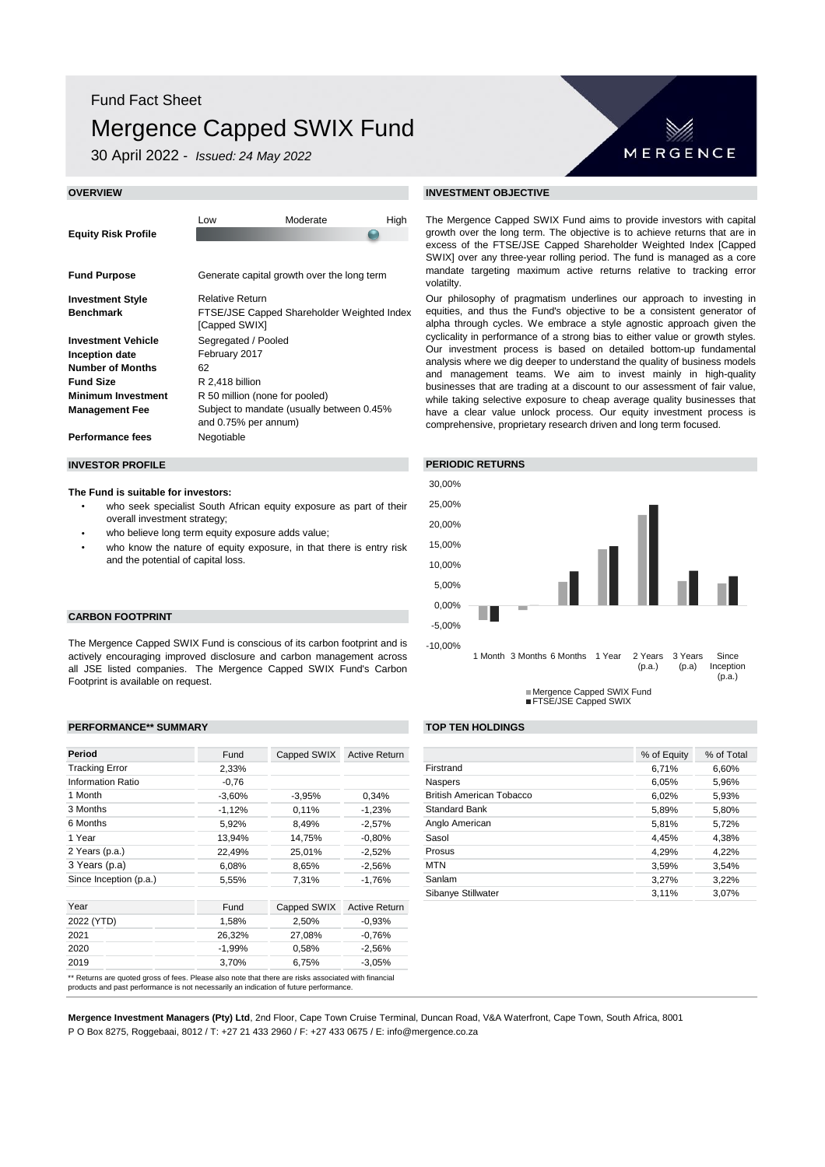## Fund Fact Sheet

# Mergence Capped SWIX Fund

30 April 2022 - *Issued: 24 May 2022*

# MERGENCE

The Mergence Capped SWIX Fund aims to provide investors with capital growth over the long term. The objective is to achieve returns that are in excess of the FTSE/JSE Capped Shareholder Weighted Index [Capped SWIX] over any three-year rolling period. The fund is managed as a core mandate targeting maximum active returns relative to tracking error volatilty.

Our philosophy of pragmatism underlines our approach to investing in equities, and thus the Fund's objective to be a consistent generator of alpha through cycles. We embrace a style agnostic approach given the cyclicality in performance of a strong bias to either value or growth styles. Our investment process is based on detailed bottom-up fundamental analysis where we dig deeper to understand the quality of business models and management teams. We aim to invest mainly in high-quality businesses that are trading at a discount to our assessment of fair value, while taking selective exposure to cheap average quality businesses that have a clear value unlock process. Our equity investment process is comprehensive, proprietary research driven and long term focused.



| Fund     | Capped SWIX | <b>Active Return</b> |                                 | % of Equity | % of Total |
|----------|-------------|----------------------|---------------------------------|-------------|------------|
| 2,33%    |             |                      | Firstrand                       | 6.71%       | 6.60%      |
| $-0,76$  |             |                      | <b>Naspers</b>                  | 6.05%       | 5,96%      |
| $-3,60%$ | $-3.95%$    | 0.34%                | <b>British American Tobacco</b> | 6.02%       | 5,93%      |
| $-1,12%$ | 0,11%       | $-1,23%$             | <b>Standard Bank</b>            | 5,89%       | 5,80%      |
| 5,92%    | 8,49%       | $-2.57%$             | Anglo American                  | 5,81%       | 5,72%      |
| 13,94%   | 14.75%      | $-0.80%$             | Sasol                           | 4,45%       | 4,38%      |
| 22,49%   | 25,01%      | $-2,52%$             | Prosus                          | 4.29%       | 4.22%      |
| 6,08%    | 8,65%       | $-2.56%$             | <b>MTN</b>                      | 3,59%       | 3,54%      |
| 5,55%    | 7.31%       | $-1.76%$             | Sanlam                          | 3.27%       | 3.22%      |
|          |             |                      | Sibanye Stillwater              | 3.11%       | 3.07%      |

| <b>OVERVIEW</b>                                                                                                                                  | <b>INVESTMENT OBJECTIVE</b>                                                                                             |                                            |                                                                                     |                                                                                                                                                                                                                                             |  |  |
|--------------------------------------------------------------------------------------------------------------------------------------------------|-------------------------------------------------------------------------------------------------------------------------|--------------------------------------------|-------------------------------------------------------------------------------------|---------------------------------------------------------------------------------------------------------------------------------------------------------------------------------------------------------------------------------------------|--|--|
| <b>Equity Risk Profile</b>                                                                                                                       | Low                                                                                                                     | Moderate                                   | High                                                                                | The Mergence Capped SW<br>growth over the long term.<br>excess of the FTSE/JSE C<br>SWIX) over any three-year                                                                                                                               |  |  |
| <b>Fund Purpose</b>                                                                                                                              | Generate capital growth over the long term                                                                              |                                            | mandate targeting maximu<br>volatilty.                                              |                                                                                                                                                                                                                                             |  |  |
| <b>Investment Style</b><br><b>Benchmark</b>                                                                                                      | <b>Relative Return</b><br>[Capped SWIX]                                                                                 | FTSE/JSE Capped Shareholder Weighted Index | Our philosophy of pragmat<br>equities, and thus the Fun<br>alpha through cycles. We |                                                                                                                                                                                                                                             |  |  |
| <b>Investment Vehicle</b><br>Inception date<br><b>Number of Months</b><br><b>Fund Size</b><br><b>Minimum Investment</b><br><b>Management Fee</b> | Segregated / Pooled<br>February 2017<br>62<br>R 2,418 billion<br>R 50 million (none for pooled)<br>and 0.75% per annum) | Subject to mandate (usually between 0.45%  |                                                                                     | cyclicality in performance of<br>Our investment process is<br>analysis where we dig deep<br>and management teams.<br>businesses that are trading<br>while taking selective expos<br>have a clear value unlock<br>comprehensive, proprietary |  |  |
| <b>Performance fees</b>                                                                                                                          | Negotiable                                                                                                              |                                            |                                                                                     |                                                                                                                                                                                                                                             |  |  |

#### **The Fund is suitable for investors:**

- who seek specialist South African equity exposure as part of their overall investment strategy;
- who believe long term equity exposure adds value;
- who know the nature of equity exposure, in that there is entry risk and the potential of capital loss.

#### **CARBON FOOTPRINT**

The Mergence Capped SWIX Fund is conscious of its carbon footprint and is actively encouraging improved disclosure and carbon management across all JSE listed companies. The Mergence Capped SWIX Fund's Carbon Footprint is available on request.

### **PERFORMANCE\*\* SUMMARY TOP TEN HOLDINGS**

| Period                   | Fund      | Capped SWIX | Active Return        |                         |
|--------------------------|-----------|-------------|----------------------|-------------------------|
| <b>Tracking Error</b>    | 2,33%     |             |                      | Firstrand               |
| <b>Information Ratio</b> | $-0,76$   |             |                      | <b>Naspers</b>          |
| 1 Month                  | $-3,60\%$ | $-3,95%$    | 0,34%                | <b>British Americal</b> |
| 3 Months                 | $-1,12%$  | 0,11%       | $-1,23%$             | <b>Standard Bank</b>    |
| 6 Months                 | 5,92%     | 8,49%       | $-2,57%$             | Anglo American          |
| 1 Year                   | 13,94%    | 14,75%      | $-0.80%$             | Sasol                   |
| 2 Years (p.a.)           | 22,49%    | 25,01%      | $-2,52%$             | Prosus                  |
| 3 Years (p.a)            | 6,08%     | 8,65%       | $-2,56%$             | <b>MTN</b>              |
| Since Inception (p.a.)   | 5,55%     | 7,31%       | $-1,76%$             | Sanlam                  |
|                          |           |             |                      | Sibanye Stillwat        |
| Year                     | Fund      | Capped SWIX | <b>Active Return</b> |                         |
| 2022 (YTD)               | 1,58%     | 2,50%       | $-0.93%$             |                         |
| 2021                     | 26,32%    | 27,08%      | $-0.76%$             |                         |
| 2020                     | -1,99%    | 0,58%       | $-2,56%$             |                         |
| 2019                     | 3,70%     | 6,75%       | $-3,05%$             |                         |

**Mergence Investment Managers (Pty) Ltd**, 2nd Floor, Cape Town Cruise Terminal, Duncan Road, V&A Waterfront, Cape Town, South Africa, 8001 P O Box 8275, Roggebaai, 8012 / T: +27 21 433 2960 / F: +27 433 0675 / E: info@mergence.co.za